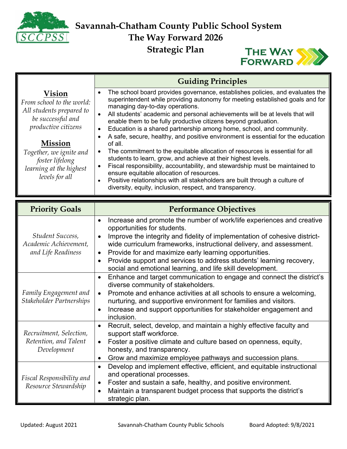

**Savannah-Chatham County Public School System**<br> **Savannah-Chatham County Public School System The Way Forward 2026 Strategic Plan**



|                                                                                                                                                                                                                                        | <b>Guiding Principles</b>                                                                                                                                                                                                                                                                                                                                                                                                                                                                                                                                                                                                                                                                                                                                                                                                                                                                                                                                                                                                                      |
|----------------------------------------------------------------------------------------------------------------------------------------------------------------------------------------------------------------------------------------|------------------------------------------------------------------------------------------------------------------------------------------------------------------------------------------------------------------------------------------------------------------------------------------------------------------------------------------------------------------------------------------------------------------------------------------------------------------------------------------------------------------------------------------------------------------------------------------------------------------------------------------------------------------------------------------------------------------------------------------------------------------------------------------------------------------------------------------------------------------------------------------------------------------------------------------------------------------------------------------------------------------------------------------------|
| <b>Vision</b><br>From school to the world:<br>All students prepared to<br>be successful and<br><i>productive citizens</i><br><b>Mission</b><br>Together, we ignite and<br>foster lifelong<br>learning at the highest<br>levels for all | The school board provides governance, establishes policies, and evaluates the<br>$\bullet$<br>superintendent while providing autonomy for meeting established goals and for<br>managing day-to-day operations.<br>All students' academic and personal achievements will be at levels that will<br>$\bullet$<br>enable them to be fully productive citizens beyond graduation.<br>Education is a shared partnership among home, school, and community.<br>$\bullet$<br>A safe, secure, healthy, and positive environment is essential for the education<br>$\bullet$<br>of all.<br>The commitment to the equitable allocation of resources is essential for all<br>$\bullet$<br>students to learn, grow, and achieve at their highest levels.<br>Fiscal responsibility, accountability, and stewardship must be maintained to<br>$\bullet$<br>ensure equitable allocation of resources.<br>Positive relationships with all stakeholders are built through a culture of<br>$\bullet$<br>diversity, equity, inclusion, respect, and transparency. |

| <b>Priority Goals</b>                                           | <b>Performance Objectives</b>                                                                                                                                                                                                                                                                                                                                                                                                                                                                                 |
|-----------------------------------------------------------------|---------------------------------------------------------------------------------------------------------------------------------------------------------------------------------------------------------------------------------------------------------------------------------------------------------------------------------------------------------------------------------------------------------------------------------------------------------------------------------------------------------------|
| Student Success,<br>Academic Achievement,<br>and Life Readiness | Increase and promote the number of work/life experiences and creative<br>$\bullet$<br>opportunities for students.<br>Improve the integrity and fidelity of implementation of cohesive district-<br>$\bullet$<br>wide curriculum frameworks, instructional delivery, and assessment.<br>Provide for and maximize early learning opportunities.<br>$\bullet$<br>Provide support and services to address students' learning recovery,<br>$\bullet$<br>social and emotional learning, and life skill development. |
| Family Engagement and<br>Stakeholder Partnerships               | Enhance and target communication to engage and connect the district's<br>diverse community of stakeholders.<br>Promote and enhance activities at all schools to ensure a welcoming,<br>$\bullet$<br>nurturing, and supportive environment for families and visitors.<br>Increase and support opportunities for stakeholder engagement and<br>$\bullet$<br>inclusion.                                                                                                                                          |
| Recruitment, Selection,<br>Retention, and Talent<br>Development | Recruit, select, develop, and maintain a highly effective faculty and<br>$\bullet$<br>support staff workforce.<br>Foster a positive climate and culture based on openness, equity,<br>$\bullet$<br>honesty, and transparency.<br>Grow and maximize employee pathways and succession plans.<br>$\bullet$                                                                                                                                                                                                       |
| Fiscal Responsibility and<br>Resource Stewardship               | Develop and implement effective, efficient, and equitable instructional<br>$\bullet$<br>and operational processes.<br>Foster and sustain a safe, healthy, and positive environment.<br>Maintain a transparent budget process that supports the district's<br>strategic plan.                                                                                                                                                                                                                                  |